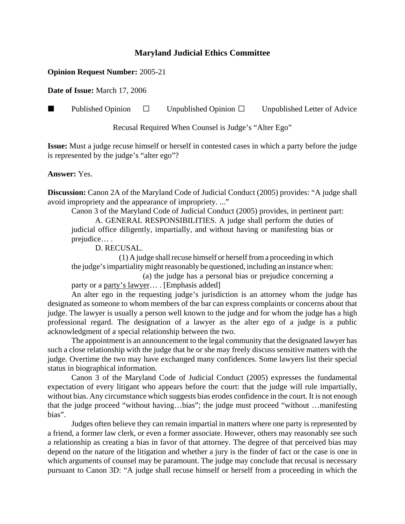## **Maryland Judicial Ethics Committee**

## **Opinion Request Number:** 2005-21

**Date of Issue:** March 17, 2006

**Published Opinion**  $\Box$  Unpublished Opinion  $\Box$  Unpublished Letter of Advice

Recusal Required When Counsel is Judge's "Alter Ego"

**Issue:** Must a judge recuse himself or herself in contested cases in which a party before the judge is represented by the judge's "alter ego"?

## **Answer:** Yes.

**Discussion:** Canon 2A of the Maryland Code of Judicial Conduct (2005) provides: "A judge shall avoid impropriety and the appearance of impropriety. ..."

Canon 3 of the Maryland Code of Judicial Conduct (2005) provides, in pertinent part: A. GENERAL RESPONSIBILITIES. A judge shall perform the duties of judicial office diligently, impartially, and without having or manifesting bias or prejudice… .

D. RECUSAL.

(1) A judge shall recuse himself or herself from a proceeding in which the judge's impartiality might reasonably be questioned, including an instance when: (a) the judge has a personal bias or prejudice concerning a

party or a party's lawyer… . [Emphasis added]

An alter ego in the requesting judge's jurisdiction is an attorney whom the judge has designated as someone to whom members of the bar can express complaints or concerns about that judge. The lawyer is usually a person well known to the judge and for whom the judge has a high professional regard. The designation of a lawyer as the alter ego of a judge is a public acknowledgment of a special relationship between the two.

The appointment is an announcement to the legal community that the designated lawyer has such a close relationship with the judge that he or she may freely discuss sensitive matters with the judge. Overtime the two may have exchanged many confidences. Some lawyers list their special status in biographical information.

Canon 3 of the Maryland Code of Judicial Conduct (2005) expresses the fundamental expectation of every litigant who appears before the court: that the judge will rule impartially, without bias. Any circumstance which suggests bias erodes confidence in the court. It is not enough that the judge proceed "without having…bias"; the judge must proceed "without …manifesting bias".

Judges often believe they can remain impartial in matters where one party is represented by a friend, a former law clerk, or even a former associate. However, others may reasonably see such a relationship as creating a bias in favor of that attorney. The degree of that perceived bias may depend on the nature of the litigation and whether a jury is the finder of fact or the case is one in which arguments of counsel may be paramount. The judge may conclude that recusal is necessary pursuant to Canon 3D: "A judge shall recuse himself or herself from a proceeding in which the